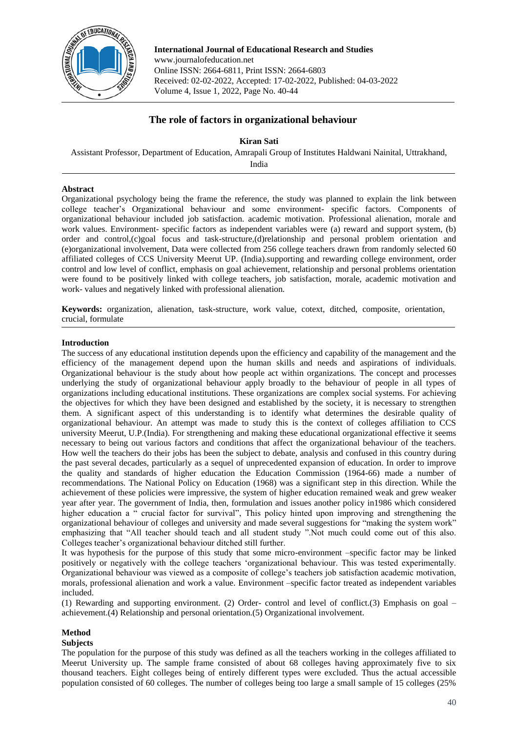

**International Journal of Educational Research and Studies** www.journalofeducation.net Online ISSN: 2664-6811, Print ISSN: 2664-6803 Received: 02-02-2022, Accepted: 17-02-2022, Published: 04-03-2022 Volume 4, Issue 1, 2022, Page No. 40-44

# **The role of factors in organizational behaviour**

## **Kiran Sati**

Assistant Professor, Department of Education, Amrapali Group of Institutes Haldwani Nainital, Uttrakhand,

India

## **Abstract**

Organizational psychology being the frame the reference, the study was planned to explain the link between college teacher's Organizational behaviour and some environment- specific factors. Components of organizational behaviour included job satisfaction. academic motivation. Professional alienation, morale and work values. Environment- specific factors as independent variables were (a) reward and support system, (b) order and control,(c)goal focus and task-structure,(d)relationship and personal problem orientation and (e)organizational involvement, Data were collected from 256 college teachers drawn from randomly selected 60 affiliated colleges of CCS University Meerut UP. (India).supporting and rewarding college environment, order control and low level of conflict, emphasis on goal achievement, relationship and personal problems orientation were found to be positively linked with college teachers, job satisfaction, morale, academic motivation and work- values and negatively linked with professional alienation*.*

**Keywords:** organization, alienation, task-structure, work value, cotext, ditched, composite, orientation, crucial, formulate

## **Introduction**

The success of any educational institution depends upon the efficiency and capability of the management and the efficiency of the management depend upon the human skills and needs and aspirations of individuals. Organizational behaviour is the study about how people act within organizations. The concept and processes underlying the study of organizational behaviour apply broadly to the behaviour of people in all types of organizations including educational institutions. These organizations are complex social systems. For achieving the objectives for which they have been designed and established by the society, it is necessary to strengthen them. A significant aspect of this understanding is to identify what determines the desirable quality of organizational behaviour. An attempt was made to study this is the context of colleges affiliation to CCS university Meerut, U.P.(India). For strengthening and making these educational organizational effective it seems necessary to being out various factors and conditions that affect the organizational behaviour of the teachers. How well the teachers do their jobs has been the subject to debate, analysis and confused in this country during the past several decades, particularly as a sequel of unprecedented expansion of education. In order to improve the quality and standards of higher education the Education Commission (1964-66) made a number of recommendations. The National Policy on Education (1968) was a significant step in this direction. While the achievement of these policies were impressive, the system of higher education remained weak and grew weaker year after year. The government of India, then, formulation and issues another policy in1986 which considered higher education a " crucial factor for survival", This policy hinted upon improving and strengthening the organizational behaviour of colleges and university and made several suggestions for "making the system work" emphasizing that "All teacher should teach and all student study ".Not much could come out of this also. Colleges teacher's organizational behaviour ditched still further.

It was hypothesis for the purpose of this study that some micro-environment –specific factor may be linked positively or negatively with the college teachers 'organizational behaviour. This was tested experimentally. Organizational behaviour was viewed as a composite of college's teachers job satisfaction academic motivation, morals, professional alienation and work a value. Environment –specific factor treated as independent variables included.

(1) Rewarding and supporting environment. (2) Order- control and level of conflict.(3) Emphasis on goal – achievement.(4) Relationship and personal orientation.(5) Organizational involvement.

## **Method**

#### **Subjects**

The population for the purpose of this study was defined as all the teachers working in the colleges affiliated to Meerut University up. The sample frame consisted of about 68 colleges having approximately five to six thousand teachers. Eight colleges being of entirely different types were excluded. Thus the actual accessible population consisted of 60 colleges. The number of colleges being too large a small sample of 15 colleges (25%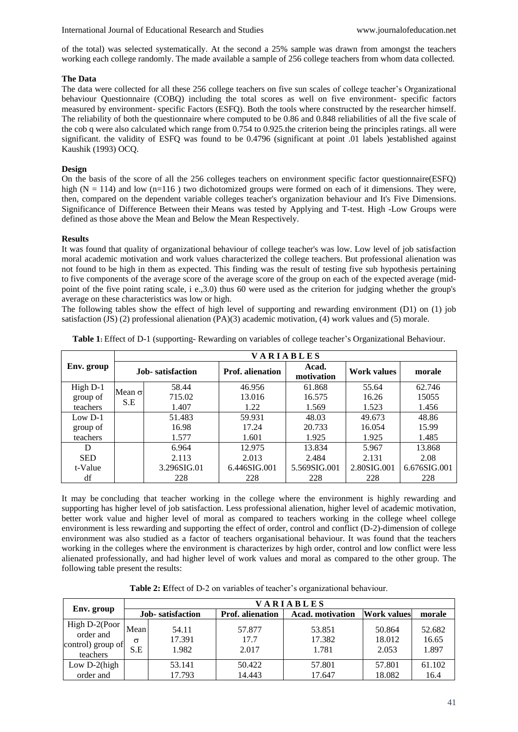of the total) was selected systematically. At the second a 25% sample was drawn from amongst the teachers working each college randomly. The made available a sample of 256 college teachers from whom data collected.

### **The Data**

The data were collected for all these 256 college teachers on five sun scales of college teacher's Organizational behaviour Questionnaire (COBQ) including the total scores as well on five environment- specific factors measured by environment- specific Factors (ESFQ). Both the tools where constructed by the researcher himself. The reliability of both the questionnaire where computed to be 0.86 and 0.848 reliabilities of all the five scale of the cob q were also calculated which range from 0.754 to 0.925.the criterion being the principles ratings. all were significant. the validity of ESFQ was found to be 0.4796 (significant at point .01 labels )established against Kaushik (1993) OCQ.

### **Design**

On the basis of the score of all the 256 colleges teachers on environment specific factor questionnaire(ESFQ) high  $(N = 114)$  and low  $(n=116)$  two dichotomized groups were formed on each of it dimensions. They were, then, compared on the dependent variable colleges teacher's organization behaviour and It's Five Dimensions. Significance of Difference Between their Means was tested by Applying and T-test. High -Low Groups were defined as those above the Mean and Below the Mean Respectively.

#### **Results**

It was found that quality of organizational behaviour of college teacher's was low. Low level of job satisfaction moral academic motivation and work values characterized the college teachers. But professional alienation was not found to be high in them as expected. This finding was the result of testing five sub hypothesis pertaining to five components of the average score of the average score of the group on each of the expected average (midpoint of the five point rating scale, i e.,3.0) thus 60 were used as the criterion for judging whether the group's average on these characteristics was low or high.

The following tables show the effect of high level of supporting and rewarding environment (D1) on (1) job satisfaction (JS) (2) professional alienation (PA)(3) academic motivation, (4) work values and (5) morale.

|            | VARIABLES            |                  |                         |                     |             |              |  |  |  |
|------------|----------------------|------------------|-------------------------|---------------------|-------------|--------------|--|--|--|
| Env. group |                      | Job-satisfaction | <b>Prof.</b> alienation | Acad.<br>motivation | Work values | morale       |  |  |  |
| High D-1   |                      | 58.44            | 46.956                  | 61.868              | 55.64       | 62.746       |  |  |  |
| group of   | Mean $\sigma$<br>S.E | 715.02           | 13.016                  | 16.575              | 16.26       | 15055        |  |  |  |
| teachers   |                      | 1.407            | 1.22                    | 1.569               | 1.523       | 1.456        |  |  |  |
| Low $D-1$  |                      | 51.483           | 59.931                  | 48.03               | 49.673      | 48.86        |  |  |  |
| group of   |                      | 16.98            | 17.24                   | 20.733              | 16.054      | 15.99        |  |  |  |
| teachers   |                      | 1.577            | 1.601                   | 1.925               | 1.925       | 1.485        |  |  |  |
| D          |                      | 6.964            | 12.975                  | 13.834              | 5.967       | 13.868       |  |  |  |
| <b>SED</b> |                      | 2.113            | 2.013                   | 2.484               | 2.131       | 2.08         |  |  |  |
| t-Value    |                      | 3.296SIG.01      | 6.446SIG.001            | 5.569SIG.001        | 2.80SIG.001 | 6.676SIG.001 |  |  |  |
| df         |                      | 228              | 228                     | 228                 | 228         | 228          |  |  |  |

**Table 1:** Effect of D-1 (supporting- Rewarding on variables of college teacher's Organizational Behaviour.

It may be concluding that teacher working in the college where the environment is highly rewarding and supporting has higher level of job satisfaction. Less professional alienation, higher level of academic motivation, better work value and higher level of moral as compared to teachers working in the college wheel college environment is less rewarding and supporting the effect of order, control and conflict (D-2)-dimension of college environment was also studied as a factor of teachers organisational behaviour. It was found that the teachers working in the colleges where the environment is characterizes by high order, control and low conflict were less alienated professionally, and had higher level of work values and moral as compared to the other group. The following table present the results:

| Table 2: Effect of D-2 on variables of teacher's organizational behaviour. |  |  |  |
|----------------------------------------------------------------------------|--|--|--|
|----------------------------------------------------------------------------|--|--|--|

|                                                             | VARIABLES               |                          |                         |                           |                           |                          |  |  |  |
|-------------------------------------------------------------|-------------------------|--------------------------|-------------------------|---------------------------|---------------------------|--------------------------|--|--|--|
| Env. group                                                  | Job-satisfaction        |                          | <b>Prof.</b> alienation | <b>Acad.</b> motivation   | <b>Work values</b>        | morale                   |  |  |  |
| High D-2(Poor<br>order and<br>control) group of<br>teachers | Mean<br>$\sigma$<br>S.E | 54.11<br>17.391<br>1.982 | 57.877<br>17.7<br>2.017 | 53.851<br>17.382<br>1.781 | 50.864<br>18.012<br>2.053 | 52.682<br>16.65<br>1.897 |  |  |  |
| Low $D-2$ (high                                             |                         | 53.141                   | 50.422                  | 57.801                    | 57.801                    | 61.102                   |  |  |  |
| order and                                                   |                         | 17.793                   | 14.443                  | 17.647                    | 18.082                    | 16.4                     |  |  |  |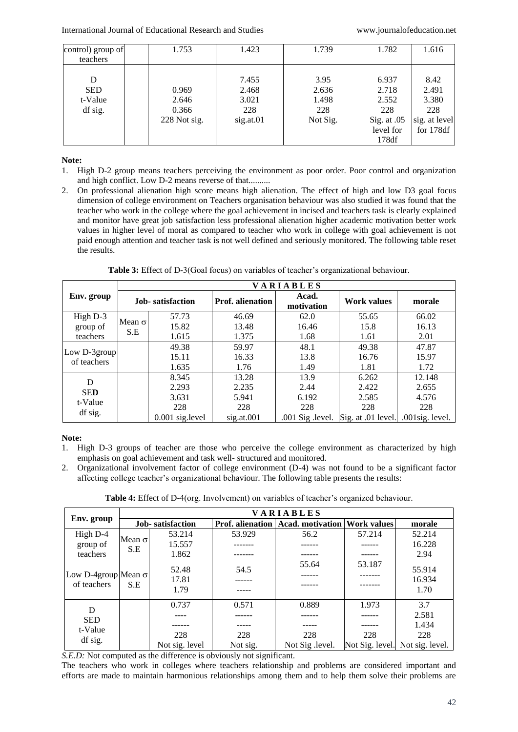| control) group of | 1.753        | 1.423     | 1.739    | 1.782       | 1.616         |
|-------------------|--------------|-----------|----------|-------------|---------------|
| teachers          |              |           |          |             |               |
|                   |              |           |          |             |               |
| D                 |              | 7.455     | 3.95     | 6.937       | 8.42          |
| <b>SED</b>        | 0.969        | 2.468     | 2.636    | 2.718       | 2.491         |
| t-Value           | 2.646        | 3.021     | 1.498    | 2.552       | 3.380         |
| df sig.           | 0.366        | 228       | 228      | 228         | 228           |
|                   | 228 Not sig. | sig.at.01 | Not Sig. | Sig. at .05 | sig. at level |
|                   |              |           |          | level for   | for 178df     |
|                   |              |           |          | 178df       |               |

## **Note:**

- 1. High D-2 group means teachers perceiving the environment as poor order. Poor control and organization and high conflict. Low D-2 means reverse of that..........
- 2. On professional alienation high score means high alienation. The effect of high and low D3 goal focus dimension of college environment on Teachers organisation behaviour was also studied it was found that the teacher who work in the college where the goal achievement in incised and teachers task is clearly explained and monitor have great job satisfaction less professional alienation higher academic motivation better work values in higher level of moral as compared to teacher who work in college with goal achievement is not paid enough attention and teacher task is not well defined and seriously monitored. The following table reset the results.

| Table 3: Effect of D-3(Goal focus) on variables of teacher's organizational behaviour. |  |  |
|----------------------------------------------------------------------------------------|--|--|
|                                                                                        |  |  |

|                             | <b>VARIABLES</b>     |                    |                         |                      |                    |                    |  |  |  |
|-----------------------------|----------------------|--------------------|-------------------------|----------------------|--------------------|--------------------|--|--|--|
| Env. group                  |                      | Job-satisfaction   | <b>Prof.</b> alienation | Acad.<br>motivation  | <b>Work values</b> | morale             |  |  |  |
| High D-3                    |                      | 57.73              | 46.69                   | 62.0                 | 55.65              | 66.02              |  |  |  |
| group of                    | Mean $\sigma$<br>S.E | 15.82              | 13.48                   | 16.46                | 15.8               | 16.13              |  |  |  |
| teachers                    |                      | 1.615              | 1.375                   | 1.68                 | 1.61               | 2.01               |  |  |  |
|                             |                      | 49.38              | 59.97                   | 48.1                 | 49.38              | 47.87              |  |  |  |
| Low D-3group<br>of teachers |                      | 15.11              | 16.33                   | 13.8                 | 16.76              | 15.97              |  |  |  |
|                             |                      | 1.635              | 1.76                    | 1.49                 | 1.81               | 1.72               |  |  |  |
| D<br><b>SED</b><br>t-Value  |                      | 8.345              | 13.28                   | 13.9                 | 6.262              | 12.148             |  |  |  |
|                             |                      | 2.293              | 2.235                   | 2.44                 | 2.422              | 2.655              |  |  |  |
|                             |                      | 3.631              | 5.941                   | 6.192                | 2.585              | 4.576              |  |  |  |
|                             |                      | 228                | 228                     | 228                  | 228                | 228                |  |  |  |
| df sig.                     |                      | $0.001$ sig. level | sig.at.001              | $.001$ Sig $.level.$ | Sig. at .01 level. | $.001$ sig. level. |  |  |  |

## **Note:**

- 1. High D-3 groups of teacher are those who perceive the college environment as characterized by high emphasis on goal achievement and task well- structured and monitored.
- 2. Organizational involvement factor of college environment (D-4) was not found to be a significant factor affecting college teacher's organizational behaviour. The following table presents the results:

**Table 4:** Effect of D-4(org. Involvement) on variables of teacher's organized behaviour.

| Env. group                                | VARIABLES            |                          |          |                                                            |        |                                 |  |  |  |
|-------------------------------------------|----------------------|--------------------------|----------|------------------------------------------------------------|--------|---------------------------------|--|--|--|
|                                           |                      | <b>Job-</b> satisfaction |          | <b>Prof. alienation   Acad. motivation   Work values  </b> |        | morale                          |  |  |  |
| High D-4                                  |                      | 53.214                   | 53.929   | 56.2                                                       | 57.214 | 52.214                          |  |  |  |
| group of                                  | Mean $\sigma$<br>S.E | 15.557                   |          |                                                            |        | 16.228                          |  |  |  |
| teachers                                  |                      | 1.862                    |          |                                                            |        | 2.94                            |  |  |  |
| Low D-4group Mean $\sigma$<br>of teachers | S.E                  | 52.48                    | 54.5     | 55.64                                                      | 53.187 | 55.914                          |  |  |  |
|                                           |                      | 17.81                    |          |                                                            |        | 16.934                          |  |  |  |
|                                           |                      | 1.79                     |          |                                                            |        | 1.70                            |  |  |  |
| D                                         |                      | 0.737                    | 0.571    | 0.889                                                      | 1.973  | 3.7                             |  |  |  |
| <b>SED</b><br>t-Value                     |                      |                          |          |                                                            |        | 2.581                           |  |  |  |
|                                           |                      |                          |          |                                                            |        | 1.434                           |  |  |  |
|                                           |                      | 228                      | 228      | 228                                                        | 228    | 228                             |  |  |  |
| df sig.                                   |                      | Not sig. level           | Not sig. | Not Sig level.                                             |        | Not Sig. level. Not sig. level. |  |  |  |

*S.E.D:* Not computed as the difference is obviously not significant.

The teachers who work in colleges where teachers relationship and problems are considered important and efforts are made to maintain harmonious relationships among them and to help them solve their problems are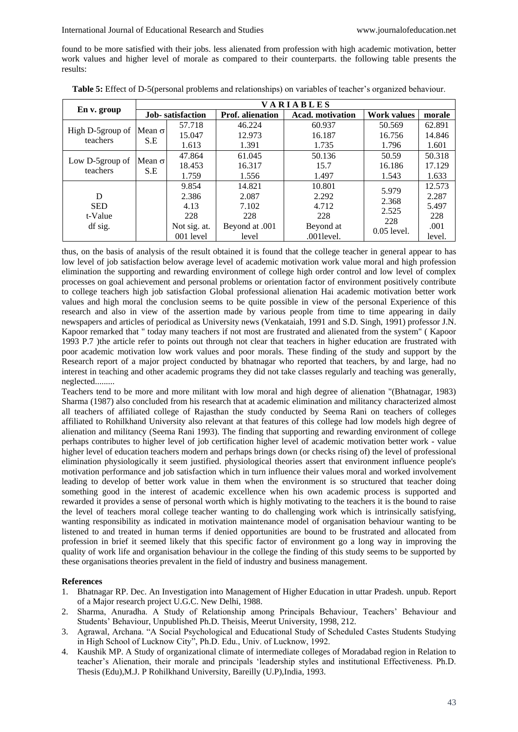found to be more satisfied with their jobs. less alienated from profession with high academic motivation, better work values and higher level of morale as compared to their counterparts. the following table presents the results:

|                              | <b>VARIABLES</b>        |              |                                             |               |                    |        |  |  |
|------------------------------|-------------------------|--------------|---------------------------------------------|---------------|--------------------|--------|--|--|
| En v. group                  | <b>Job-satisfaction</b> |              | <b>Prof.</b> alienation<br>Acad. motivation |               | <b>Work values</b> | morale |  |  |
|                              |                         | 57.718       | 46.224                                      | 60.937        | 50.569             | 62.891 |  |  |
| High D-5group of<br>teachers | Mean $\sigma$           | 15.047       | 12.973                                      | 16.187        | 16.756             | 14.846 |  |  |
|                              | S.E                     | 1.613        | 1.391                                       | 1.735         | 1.796              | 1.601  |  |  |
|                              | Mean $\sigma$<br>S.E    | 47.864       | 61.045                                      | 50.136        | 50.59              | 50.318 |  |  |
| Low D-5group of<br>teachers  |                         | 18.453       | 16.317                                      | 15.7          | 16.186             | 17.129 |  |  |
|                              |                         | 1.759        | 1.556                                       | 1.497         | 1.543              | 1.633  |  |  |
|                              |                         | 9.854        | 14.821                                      | 10.801        |                    | 12.573 |  |  |
| D                            |                         | 2.386        | 2.087                                       | 2.292         | 5.979<br>2.368     | 2.287  |  |  |
| <b>SED</b>                   |                         | 4.13         | 7.102                                       | 4.712         | 2.525              | 5.497  |  |  |
| t-Value                      |                         | 228          | 228                                         | 228           | 228                | 228    |  |  |
| df sig.                      |                         | Not sig. at. | Beyond at .001                              | Beyond at     | $0.05$ level.      | .001   |  |  |
|                              |                         | 001 level    | level                                       | $.001$ level. |                    | level. |  |  |

**Table 5:** Effect of D-5(personal problems and relationships) on variables of teacher's organized behaviour.

thus, on the basis of analysis of the result obtained it is found that the college teacher in general appear to has low level of job satisfaction below average level of academic motivation work value moral and high profession elimination the supporting and rewarding environment of college high order control and low level of complex processes on goal achievement and personal problems or orientation factor of environment positively contribute to college teachers high job satisfaction Global professional alienation Hai academic motivation better work values and high moral the conclusion seems to be quite possible in view of the personal Experience of this research and also in view of the assertion made by various people from time to time appearing in daily newspapers and articles of periodical as University news (Venkataiah, 1991 and S.D. Singh, 1991) professor J.N. Kapoor remarked that " today many teachers if not most are frustrated and alienated from the system" ( Kapoor 1993 P.7 )the article refer to points out through not clear that teachers in higher education are frustrated with poor academic motivation low work values and poor morals. These finding of the study and support by the Research report of a major project conducted by bhatnagar who reported that teachers, by and large, had no interest in teaching and other academic programs they did not take classes regularly and teaching was generally, neglected.........

Teachers tend to be more and more militant with low moral and high degree of alienation "(Bhatnagar, 1983) Sharma (1987) also concluded from his research that at academic elimination and militancy characterized almost all teachers of affiliated college of Rajasthan the study conducted by Seema Rani on teachers of colleges affiliated to Rohilkhand University also relevant at that features of this college had low models high degree of alienation and militancy (Seema Rani 1993). The finding that supporting and rewarding environment of college perhaps contributes to higher level of job certification higher level of academic motivation better work - value higher level of education teachers modern and perhaps brings down (or checks rising of) the level of professional elimination physiologically it seem justified. physiological theories assert that environment influence people's motivation performance and job satisfaction which in turn influence their values moral and worked involvement leading to develop of better work value in them when the environment is so structured that teacher doing something good in the interest of academic excellence when his own academic process is supported and rewarded it provides a sense of personal worth which is highly motivating to the teachers it is the bound to raise the level of teachers moral college teacher wanting to do challenging work which is intrinsically satisfying, wanting responsibility as indicated in motivation maintenance model of organisation behaviour wanting to be listened to and treated in human terms if denied opportunities are bound to be frustrated and allocated from profession in brief it seemed likely that this specific factor of environment go a long way in improving the quality of work life and organisation behaviour in the college the finding of this study seems to be supported by these organisations theories prevalent in the field of industry and business management.

## **References**

- 1. Bhatnagar RP. Dec. An Investigation into Management of Higher Education in uttar Pradesh. unpub. Report of a Major research project U.G.C. New Delhi, 1988.
- 2. Sharma, Anuradha. A Study of Relationship among Principals Behaviour, Teachers' Behaviour and Students' Behaviour, Unpublished Ph.D. Theisis, Meerut University, 1998, 212.
- 3. Agrawal, Archana. "A Social Psychological and Educational Study of Scheduled Castes Students Studying in High School of Lucknow City", Ph.D. Edu., Univ. of Lucknow, 1992.
- 4. Kaushik MP. A Study of organizational climate of intermediate colleges of Moradabad region in Relation to teacher's Alienation, their morale and principals 'leadership styles and institutional Effectiveness. Ph.D. Thesis (Edu),M.J. P Rohilkhand University, Bareilly (U.P),India, 1993.